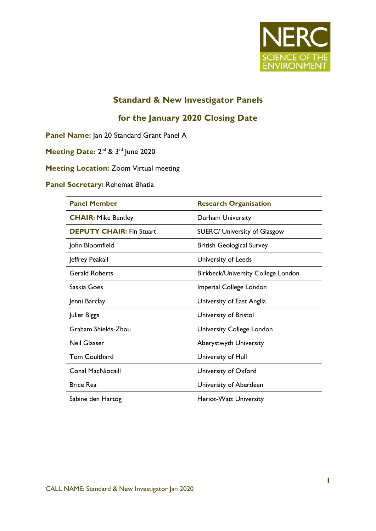

## **Standard & New Investigator Panels**

# **for the January 2020 Closing Date**

**Panel Name:** Jan 20 Standard Grant Panel A

Meeting Date: 2<sup>nd</sup> & 3<sup>rd</sup> June 2020

**Meeting Location:** Zoom Virtual meeting

### **Panel Secretary:** Rehemat Bhatia

| <b>Panel Member</b>             | <b>Research Organisation</b>              |
|---------------------------------|-------------------------------------------|
| <b>CHAIR: Mike Bentley</b>      | Durham University                         |
| <b>DEPUTY CHAIR: Fin Stuart</b> | <b>SUERC/ University of Glasgow</b>       |
| John Bloomfield                 | <b>British Geological Survey</b>          |
| Jeffrey Peakall                 | University of Leeds                       |
| <b>Gerald Roberts</b>           | <b>Birkbeck/University College London</b> |
| Saskia Goes                     | Imperial College London                   |
| Jenni Barclay                   | University of East Anglia                 |
| Juliet Biggs                    | University of Bristol                     |
| Graham Shields-Zhou             | University College London                 |
| Neil Glasser                    | <b>Aberystwyth University</b>             |
| Tom Coulthard                   | University of Hull                        |
| <b>Conal MacNiocaill</b>        | University of Oxford                      |
| <b>Brice Rea</b>                | University of Aberdeen                    |
| Sabine den Hartog               | Heriot-Watt University                    |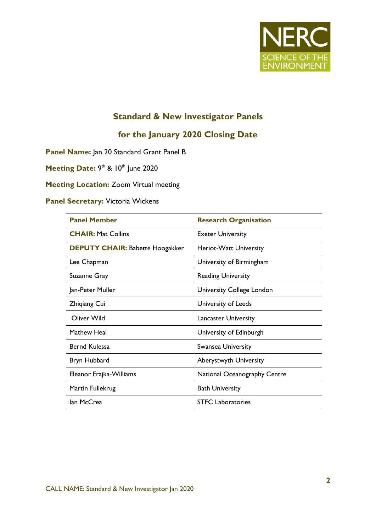

# **Standard & New Investigator Panels**

### **for the January 2020 Closing Date**

**Panel Name:** Jan 20 Standard Grant Panel B

Meeting Date: 9<sup>th</sup> & 10<sup>th</sup> June 2020

**Meeting Location:** Zoom Virtual meeting

#### **Panel Secretary:** Victoria Wickens

| <b>Panel Member</b>                    | <b>Research Organisation</b> |
|----------------------------------------|------------------------------|
| <b>CHAIR: Mat Collins</b>              | <b>Exeter University</b>     |
| <b>DEPUTY CHAIR: Babette Hoogakker</b> | Heriot-Watt University       |
| Lee Chapman                            | University of Birmingham     |
| Suzanne Gray                           | <b>Reading University</b>    |
| Jan-Peter Muller                       | University College London    |
| <b>Zhiqiang Cui</b>                    | University of Leeds          |
| Oliver Wild                            | <b>Lancaster University</b>  |
| Mathew Heal                            | University of Edinburgh      |
| Bernd Kulessa                          | <b>Swansea University</b>    |
| Bryn Hubbard                           | Aberystwyth University       |
| Eleanor Frajka-Williams                | National Oceanography Centre |
| Martin Fullekrug                       | <b>Bath University</b>       |
| lan McCrea                             | <b>STFC</b> Laboratories     |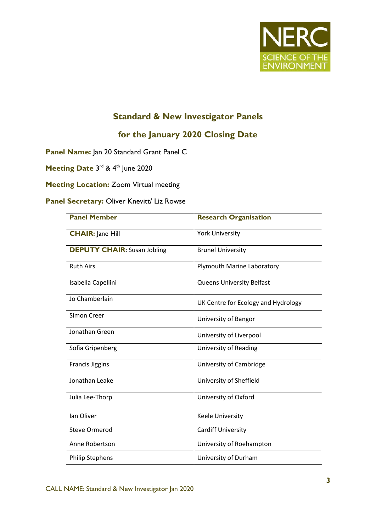

# **Standard & New Investigator Panels**

## **for the January 2020 Closing Date**

**Panel Name:** Jan 20 Standard Grant Panel C

Meeting Date 3<sup>rd</sup> & 4<sup>th</sup> June 2020

### **Meeting Location:** Zoom Virtual meeting

### **Panel Secretary:** Oliver Knevitt/ Liz Rowse

| <b>Panel Member</b>                | <b>Research Organisation</b>        |
|------------------------------------|-------------------------------------|
| <b>CHAIR: Jane Hill</b>            | <b>York University</b>              |
| <b>DEPUTY CHAIR:</b> Susan Jobling | <b>Brunel University</b>            |
| <b>Ruth Airs</b>                   | Plymouth Marine Laboratory          |
| Isabella Capellini                 | <b>Queens University Belfast</b>    |
| Jo Chamberlain                     | UK Centre for Ecology and Hydrology |
| Simon Creer                        | University of Bangor                |
| Jonathan Green                     | University of Liverpool             |
| Sofia Gripenberg                   | University of Reading               |
| <b>Francis Jiggins</b>             | University of Cambridge             |
| Jonathan Leake                     | University of Sheffield             |
| Julia Lee-Thorp                    | University of Oxford                |
| Ian Oliver                         | <b>Keele University</b>             |
| <b>Steve Ormerod</b>               | <b>Cardiff University</b>           |
| Anne Robertson                     | University of Roehampton            |
| <b>Philip Stephens</b>             | University of Durham                |